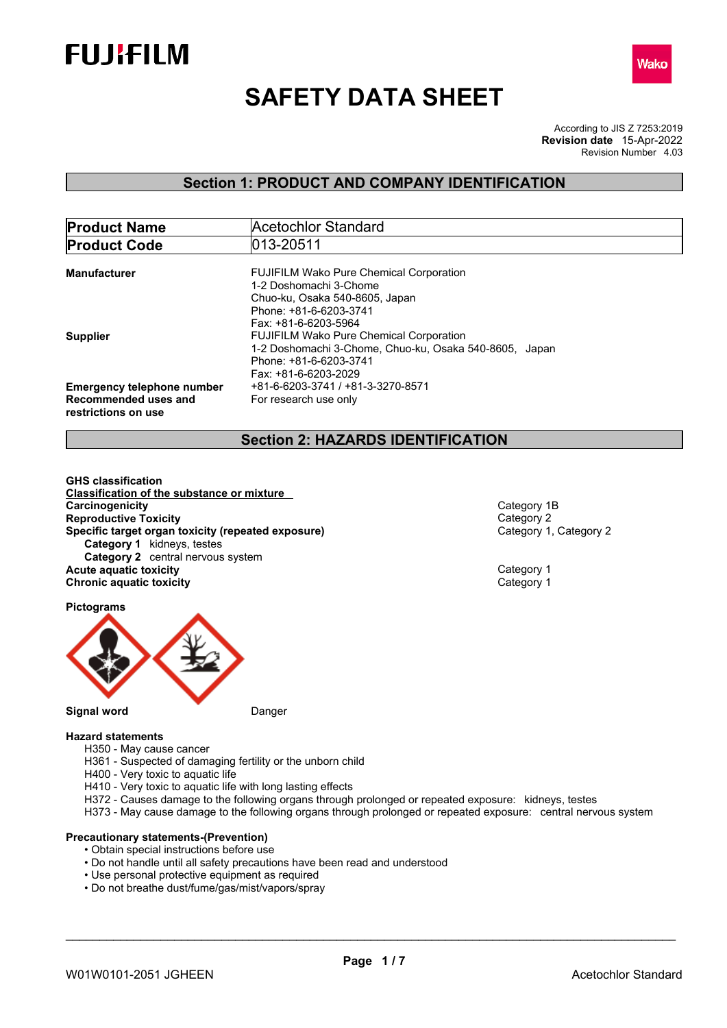



# **SAFETY DATA SHEET**

According to JIS Z 7253:2019 Revision Number 4.03 **Revision date** 15-Apr-2022

### **Section 1: PRODUCT AND COMPANY IDENTIFICATION**

| <b>Product Name</b>               | Acetochlor Standard                                    |
|-----------------------------------|--------------------------------------------------------|
| <b>Product Code</b>               | 013-20511                                              |
|                                   |                                                        |
| <b>Manufacturer</b>               | <b>FUJIFILM Wako Pure Chemical Corporation</b>         |
|                                   | 1-2 Doshomachi 3-Chome                                 |
|                                   | Chuo-ku, Osaka 540-8605, Japan                         |
|                                   | Phone: +81-6-6203-3741                                 |
|                                   | Fax: +81-6-6203-5964                                   |
| <b>Supplier</b>                   | <b>FUJIFILM Wako Pure Chemical Corporation</b>         |
|                                   | 1-2 Doshomachi 3-Chome, Chuo-ku, Osaka 540-8605, Japan |
|                                   | Phone: +81-6-6203-3741                                 |
|                                   | Fax: +81-6-6203-2029                                   |
| <b>Emergency telephone number</b> | +81-6-6203-3741 / +81-3-3270-8571                      |
| Recommended uses and              |                                                        |
|                                   | For research use only                                  |
| restrictions on use               |                                                        |

### **Section 2: HAZARDS IDENTIFICATION**

**GHS classification Classification of the substance or mixture Carcinogenicity** Category 1B<br> **Category 18**<br> **Category 2 Reproductive Toxicity**<br> **Reproductive Toxicity (repeated exposure)**<br> **Specific target organ toxicity (repeated exposure)**<br> **Category 1, Category 2 Specific target organ toxicity (repeated exposure) Category 1** kidneys, testes **Category 2** central nervous system **Acute aquatic toxicity** Category 1 **Chronic aquatic toxicity** Chronic **aquatic toxicity** Category 1

**Pictograms**



#### **Signal word** Danger

#### **Hazard statements**

- H350 May cause cancer
- H361 Suspected of damaging fertility or the unborn child
- H400 Very toxic to aquatic life
- H410 Very toxic to aquatic life with long lasting effects
- H372 Causes damage to the following organs through prolonged or repeated exposure: kidneys, testes
- H373 May cause damage to the following organs through prolonged or repeated exposure: central nervous system

#### **Precautionary statements-(Prevention)**

- Obtain special instructions before use
- Do not handle until all safety precautions have been read and understood
- Use personal protective equipment as required
- Do not breathe dust/fume/gas/mist/vapors/spray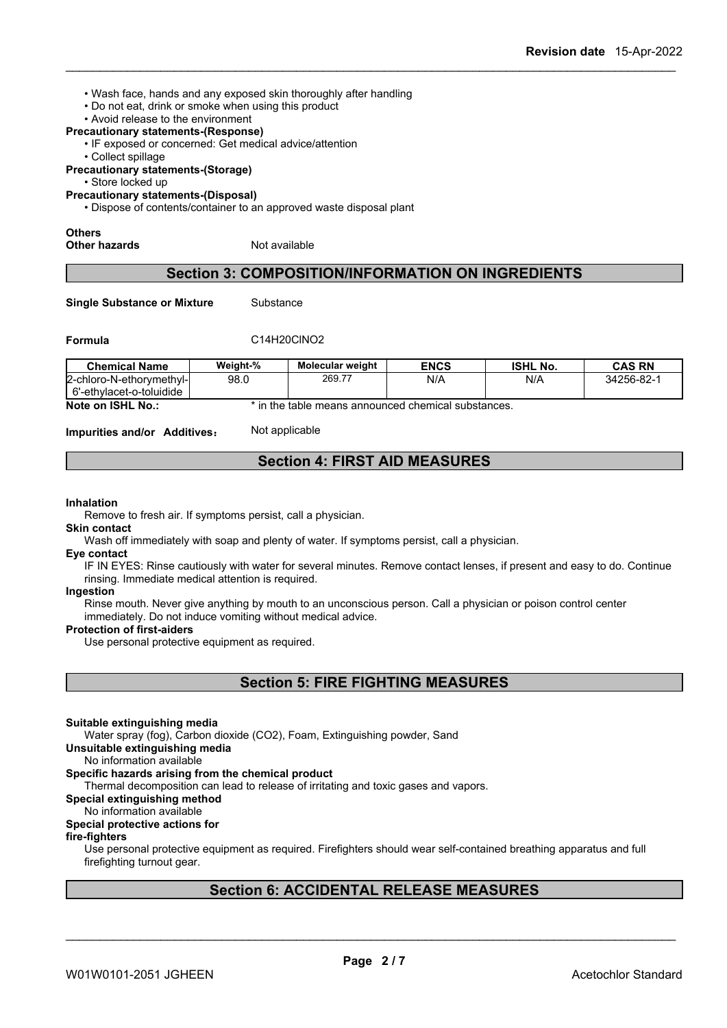- Wash face, hands and any exposed skin thoroughly after handling
- Do not eat, drink or smoke when using this product
- Avoid release to the environment

#### **Precautionary statements-(Response)**

- IF exposed or concerned: Get medical advice/attention
- Collect spillage

**Precautionary statements-(Storage)**

• Store locked up

**Precautionary statements-(Disposal)**

• Dispose of contents/container to an approved waste disposal plant

## **Others**

**Other hazards** Not available

### **Section 3: COMPOSITION/INFORMATION ON INGREDIENTS**

**Single Substance or Mixture** Substance

#### **Formula** C14H20ClNO2

| <b>Chemical Name</b>          | Weight-% | <b>Molecular weight</b> | <b>ENCS</b> | <b>ISHL No.</b> | <b>CAS RN</b> |
|-------------------------------|----------|-------------------------|-------------|-----------------|---------------|
| l2-chloro-N-ethorvmethvl-l    | 98.0     | 269.77                  | N/A         | N/A             | 34256-82-1    |
| o-toluidide<br>o'-ethylacet-o |          |                         |             |                 |               |

**Note on ISHL No.:** \* in the table means announced chemical substances.

**Impurities and/or Additives**: Not applicable

### **Section 4: FIRST AID MEASURES**

#### **Inhalation**

Remove to fresh air. If symptoms persist, call a physician.

#### **Skin contact**

Wash off immediately with soap and plenty of water. If symptoms persist, call a physician.

#### **Eye contact**

IF IN EYES: Rinse cautiously with water for several minutes. Remove contact lenses, if present and easy to do. Continue rinsing. Immediate medical attention is required.

#### **Ingestion**

Rinse mouth. Never give anything by mouth to an unconscious person. Call a physician or poison control center immediately. Do not induce vomiting without medical advice.

#### **Protection of first-aiders**

Use personal protective equipment as required.

**Section 5: FIRE FIGHTING MEASURES**

#### **Suitable extinguishing media**

Water spray (fog), Carbon dioxide (CO2), Foam, Extinguishing powder, Sand

**Unsuitable extinguishing media**

#### No information available

#### **Specific hazards arising from the chemical product**

Thermal decomposition can lead to release of irritating and toxic gases and vapors.

### **Special extinguishing method**

#### No information available

#### **Special protective actions for**

#### **fire-fighters**

Use personal protective equipment as required.Firefighters should wear self-contained breathing apparatus and full firefighting turnout gear.

### **Section 6: ACCIDENTAL RELEASE MEASURES**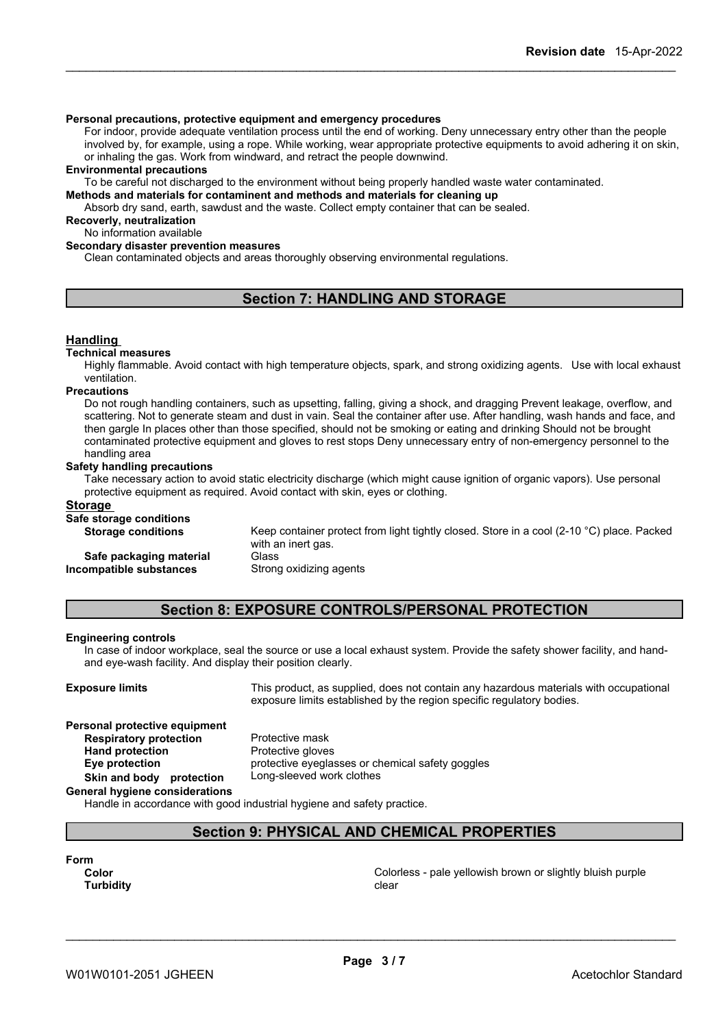#### **Personal precautions, protective equipment and emergency procedures**

For indoor, provide adequate ventilation process until the end of working. Deny unnecessary entry other than the people involved by, for example, using a rope. While working, wear appropriate protective equipments to avoid adhering it on skin, or inhaling the gas. Work from windward, and retract the people downwind.

#### **Environmental precautions**

To be careful not discharged to the environment without being properly handled waste water contaminated.

#### **Methods and materials for contaminent and methods and materials for cleaning up**

Absorb dry sand, earth, sawdust and the waste. Collect empty container that can be sealed.

**Recoverly, neutralization**

### No information available

#### **Secondary disaster prevention measures**

Clean contaminated objects and areas thoroughly observing environmental regulations.

### **Section 7: HANDLING AND STORAGE**

#### **Handling**

#### **Technical measures**

Highly flammable. Avoid contact with high temperature objects, spark, and strong oxidizing agents. Use with local exhaust ventilation.

#### **Precautions**

Do not rough handling containers, such as upsetting, falling, giving a shock, and dragging Prevent leakage, overflow, and scattering. Not to generate steam and dust in vain. Seal the container after use. After handling, wash hands and face, and then gargle In places other than those specified, should not be smoking or eating and drinking Should not be brought contaminated protective equipment and gloves to rest stops Deny unnecessary entry of non-emergency personnel to the handling area

#### **Safety handling precautions**

Take necessary action to avoid static electricity discharge (which might cause ignition of organic vapors). Use personal protective equipment as required. Avoid contact with skin, eyes or clothing.

#### **Storage**

#### **Safe storage conditions**

| <u>oaro otorago ooriantiono</u> |                                                                                                     |
|---------------------------------|-----------------------------------------------------------------------------------------------------|
| <b>Storage conditions</b>       | Keep container protect from light tightly closed. Store in a cool (2-10 $^{\circ}$ C) place. Packed |
|                                 | with an inert gas.                                                                                  |
| Safe packaging material         | Glass                                                                                               |
| Incompatible substances         | Strong oxidizing agents                                                                             |

### **Section 8: EXPOSURE CONTROLS/PERSONAL PROTECTION**

#### **Engineering controls**

In case of indoor workplace, seal the source or use a local exhaust system. Provide the safety shower facility, and handand eye-wash facility. And display their position clearly.

**Exposure limits** This product, as supplied, does not contain any hazardous materials with occupational exposure limits established by the region specific regulatory bodies.

#### **Personal protective equipment**

**Respiratory protection** Protective mask **Hand protection** Protective gloves **Eye protection** protective eyeglasses or chemical safety goggles **Skin and body protection** Long-sleeved work clothes

**General hygiene considerations**

Handle in accordance with good industrial hygiene and safety practice.

### **Section 9: PHYSICAL AND CHEMICAL PROPERTIES**

| Form             |  |
|------------------|--|
| Color            |  |
| <b>Turbidity</b> |  |

**Color** Colorless - pale yellowish brown orslightly bluish purple **Turbidity Clear Clear Clear Clear Clear Clear Clear**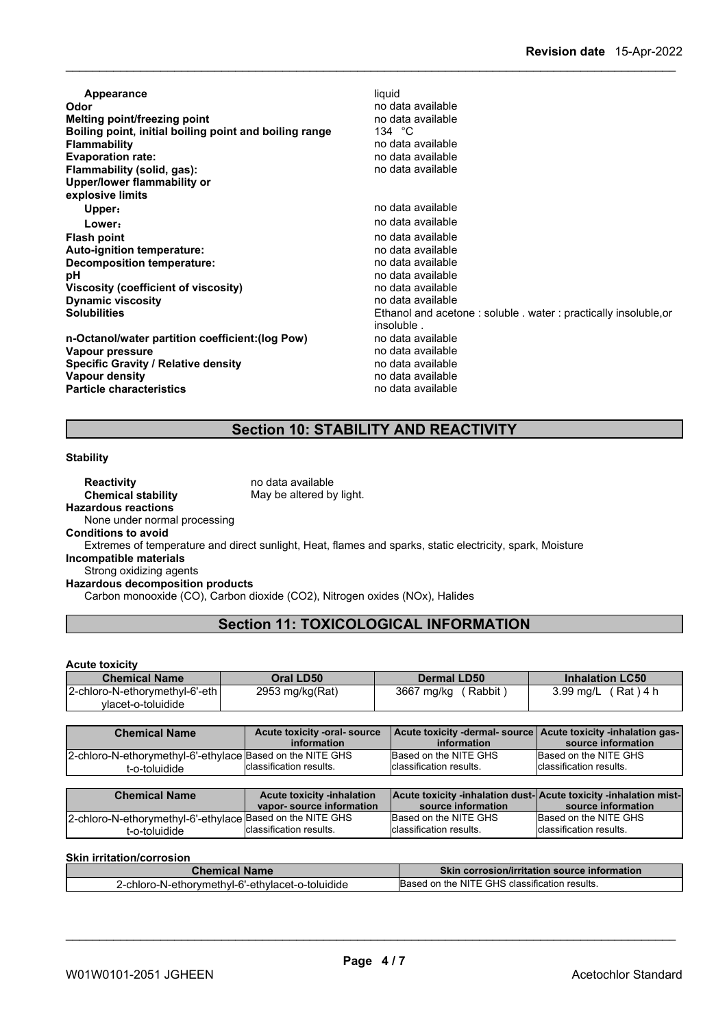| Appearance                                             | liquid                                                          |
|--------------------------------------------------------|-----------------------------------------------------------------|
| Odor                                                   | no data available                                               |
| Melting point/freezing point                           | no data available                                               |
| Boiling point, initial boiling point and boiling range | 134 $^{\circ}$ C                                                |
| <b>Flammability</b>                                    | no data available                                               |
| <b>Evaporation rate:</b>                               | no data available                                               |
| Flammability (solid, gas):                             | no data available                                               |
| Upper/lower flammability or                            |                                                                 |
| explosive limits                                       |                                                                 |
| Upper:                                                 | no data available                                               |
| Lower:                                                 | no data available                                               |
| <b>Flash point</b>                                     | no data available                                               |
| Auto-ignition temperature:                             | no data available                                               |
| Decomposition temperature:                             | no data available                                               |
| рH                                                     | no data available                                               |
| Viscosity (coefficient of viscosity)                   | no data available                                               |
| <b>Dynamic viscosity</b>                               | no data available                                               |
| <b>Solubilities</b>                                    | Ethanol and acetone: soluble . water: practically insoluble, or |
|                                                        | insoluble.                                                      |
| n-Octanol/water partition coefficient: (log Pow)       | no data available                                               |
| Vapour pressure                                        | no data available                                               |
| <b>Specific Gravity / Relative density</b>             | no data available                                               |
| Vapour density                                         | no data available                                               |
| <b>Particle characteristics</b>                        | no data available                                               |

### **Section 10: STABILITY AND REACTIVITY**

#### **Stability**

**Reactivity** no data available<br> **Chemical stability** May be altered by May be altered by light. **Hazardous reactions** None under normal processing **Conditions to avoid** Extremes of temperature and direct sunlight, Heat, flames and sparks, static electricity, spark, Moisture **Incompatible materials** Strong oxidizing agents

**Hazardous decomposition products**

Carbon monooxide (CO), Carbon dioxide (CO2), Nitrogen oxides (NOx), Halides

### **Section 11: TOXICOLOGICAL INFORMATION**

#### **Acute toxicity**

| <b>Chemical Name</b>           | Oral LD50       | <b>Dermal LD50</b> | <b>Inhalation LC50</b> |
|--------------------------------|-----------------|--------------------|------------------------|
| 2-chloro-N-ethorymethyl-6'-eth | 2953 mg/kg(Rat) | 3667 mg/kg         | Rat ) 4 h              |
| vlacet-o-toluidide             |                 | Rabbit             | 3.99 ma/L              |

| <b>Chemical Name</b>                                      | Acute toxicity -oral-source<br>information | information              | Acute toxicity -dermal- source   Acute toxicity -inhalation gas-<br>source information |
|-----------------------------------------------------------|--------------------------------------------|--------------------------|----------------------------------------------------------------------------------------|
| 2-chloro-N-ethorymethyl-6'-ethylace Based on the NITE GHS | Iclassification results.                   | Based on the NITE GHS    | Based on the NITE GHS                                                                  |
| -o-toluidide                                              |                                            | Iclassification results. | Iclassification results.                                                               |

| <b>Chemical Name</b>                                      | <b>Acute toxicity -inhalation</b> | Acute toxicity -inhalation dust-Acute toxicity -inhalation mist- |                          |
|-----------------------------------------------------------|-----------------------------------|------------------------------------------------------------------|--------------------------|
|                                                           | vapor-source information          | source information                                               | source information       |
| 2-chloro-N-ethorymethyl-6'-ethylace Based on the NITE GHS |                                   | Based on the NITE GHS                                            | Based on the NITE GHS    |
| '-o-toluidide                                             | Iclassification results.          | Iclassification results.                                         | Iclassification results. |

#### **Skin irritation/corrosion**

| <i>C</i> hemical Name∈                                      | ◯ Skin corrosion/irritation source information |
|-------------------------------------------------------------|------------------------------------------------|
| .<br>ro-N-ethorymethyl-6'-ethylacet-o-toluidide<br>2-chloro | Based on the NITE GHS classification results.  |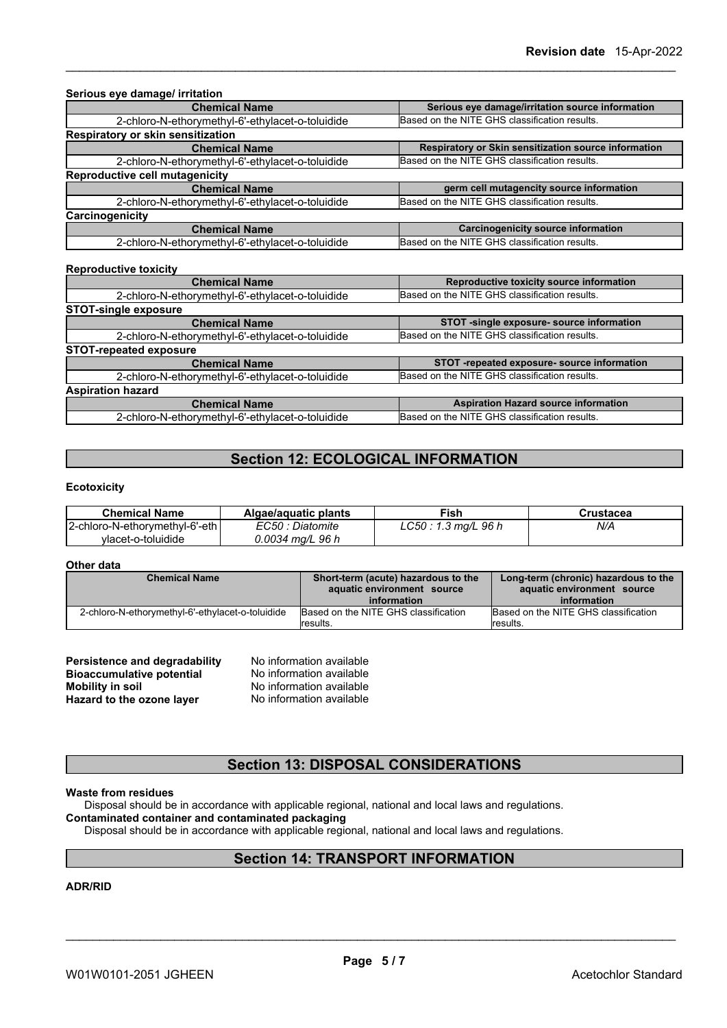| Serious eye damage/ irritation                   |                                                      |  |
|--------------------------------------------------|------------------------------------------------------|--|
| <b>Chemical Name</b>                             | Serious eye damage/irritation source information     |  |
| 2-chloro-N-ethorymethyl-6'-ethylacet-o-toluidide | Based on the NITE GHS classification results.        |  |
| Respiratory or skin sensitization                |                                                      |  |
| <b>Chemical Name</b>                             | Respiratory or Skin sensitization source information |  |
| 2-chloro-N-ethorymethyl-6'-ethylacet-o-toluidide | Based on the NITE GHS classification results.        |  |
| <b>Reproductive cell mutagenicity</b>            |                                                      |  |
| <b>Chemical Name</b>                             | germ cell mutagencity source information             |  |
| 2-chloro-N-ethorymethyl-6'-ethylacet-o-toluidide | Based on the NITE GHS classification results.        |  |
| Carcinogenicity                                  |                                                      |  |
| <b>Chemical Name</b>                             | <b>Carcinogenicity source information</b>            |  |
| 2-chloro-N-ethorymethyl-6'-ethylacet-o-toluidide | Based on the NITE GHS classification results.        |  |
| <b>Reproductive toxicity</b>                     |                                                      |  |
| <b>Chemical Name</b>                             | Reproductive toxicity source information             |  |
| 2-chloro-N-ethorymethyl-6'-ethylacet-o-toluidide | Based on the NITE GHS classification results.        |  |
| <b>STOT-single exposure</b>                      |                                                      |  |
| <b>Chemical Name</b>                             | STOT -single exposure- source information            |  |
| 2-chloro-N-ethorymethyl-6'-ethylacet-o-toluidide | Based on the NITE GHS classification results.        |  |
| <b>STOT-repeated exposure</b>                    |                                                      |  |
| <b>Chemical Name</b>                             | STOT -repeated exposure- source information          |  |
| 2-chloro-N-ethorymethyl-6'-ethylacet-o-toluidide | Based on the NITE GHS classification results.        |  |
| <b>Aspiration hazard</b>                         |                                                      |  |
| <b>Chemical Name</b>                             | <b>Aspiration Hazard source information</b>          |  |
| 2-chloro-N-ethorymethyl-6'-ethylacet-o-toluidide | Based on the NITE GHS classification results.        |  |

### **Section 12: ECOLOGICAL INFORMATION**

#### **Ecotoxicity**

| <b>Chemical Name</b>           | Algae/aguatic plants | Fish                  | Crustacea |
|--------------------------------|----------------------|-----------------------|-----------|
| 2-chloro-N-ethorymethyl-6'-eth | EC50 : Diatomite     | $LC50: 1.3$ mg/L 96 h | N/A       |
| vlacet-o-toluidide             | 0.0034 mg/L 96 h     |                       |           |

#### **Other data**

| <b>Chemical Name</b>                             | Short-term (acute) hazardous to the<br>aquatic environment source<br>information | Long-term (chronic) hazardous to the<br>aquatic environment source<br>information |
|--------------------------------------------------|----------------------------------------------------------------------------------|-----------------------------------------------------------------------------------|
| 2-chloro-N-ethorymethyl-6'-ethylacet-o-toluidide | Based on the NITE GHS classification<br>lresults.                                | Based on the NITE GHS classification<br>lresults.                                 |

| Persistence and degradability    | No information available |
|----------------------------------|--------------------------|
| <b>Bioaccumulative potential</b> | No information available |
| Mobility in soil                 | No information available |
| Hazard to the ozone layer        | No information available |

### **Section 13: DISPOSAL CONSIDERATIONS**

#### **Waste from residues**

Disposal should be in accordance with applicable regional, national and local laws and regulations.

### **Contaminated container and contaminated packaging**

Disposal should be in accordance with applicable regional, national and local laws and regulations.

### **Section 14: TRANSPORT INFORMATION**

#### **ADR/RID**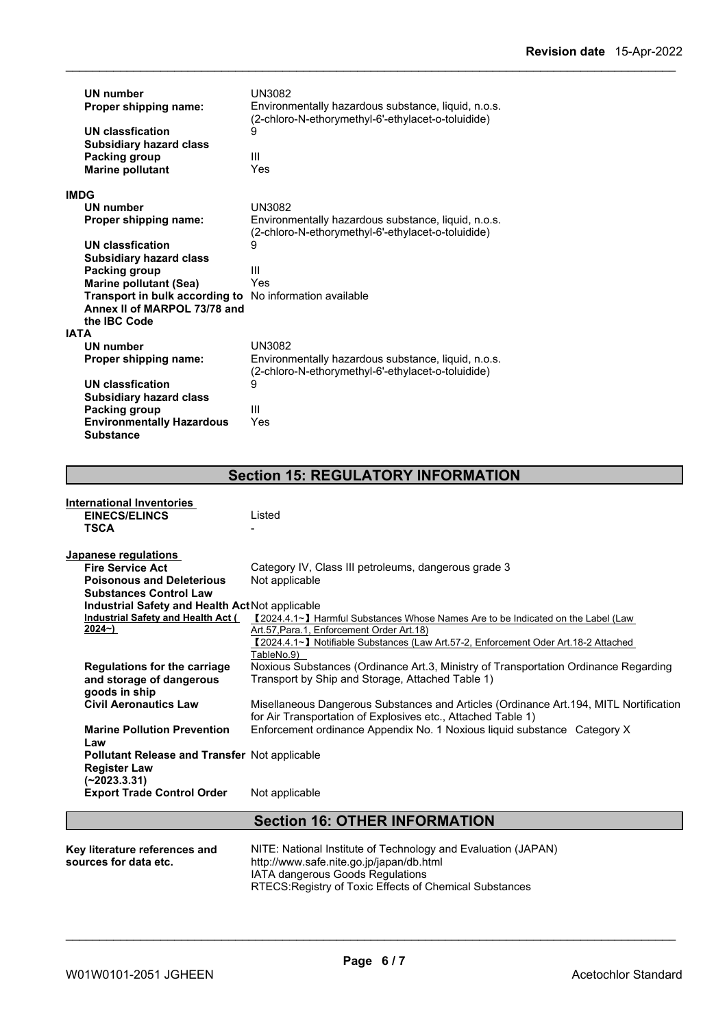| <b>UN number</b><br>Proper shipping name:          | UN3082<br>Environmentally hazardous substance, liquid, n.o.s.<br>(2-chloro-N-ethorymethyl-6'-ethylacet-o-toluidide) |
|----------------------------------------------------|---------------------------------------------------------------------------------------------------------------------|
| UN classfication<br><b>Subsidiary hazard class</b> | 9                                                                                                                   |
| Packing group<br><b>Marine pollutant</b>           | Ш<br>Yes                                                                                                            |
| <b>IMDG</b>                                        |                                                                                                                     |
| <b>UN number</b>                                   | <b>UN3082</b>                                                                                                       |
| Proper shipping name:                              | Environmentally hazardous substance, liquid, n.o.s.<br>(2-chloro-N-ethorymethyl-6'-ethylacet-o-toluidide)           |
| UN classfication                                   | 9                                                                                                                   |
| <b>Subsidiary hazard class</b>                     |                                                                                                                     |
| Packing group                                      | Ш                                                                                                                   |
| <b>Marine pollutant (Sea)</b>                      | Yes                                                                                                                 |
| Transport in bulk according to                     | No information available                                                                                            |
| Annex II of MARPOL 73/78 and                       |                                                                                                                     |
| the IBC Code                                       |                                                                                                                     |
| <b>IATA</b>                                        |                                                                                                                     |
| UN number                                          | <b>UN3082</b>                                                                                                       |
| Proper shipping name:                              | Environmentally hazardous substance, liquid, n.o.s.<br>(2-chloro-N-ethorymethyl-6'-ethylacet-o-toluidide)           |
| UN classfication                                   | 9                                                                                                                   |
| <b>Subsidiary hazard class</b>                     |                                                                                                                     |
| Packing group                                      | Ш                                                                                                                   |
| <b>Environmentally Hazardous</b>                   | Yes                                                                                                                 |
| <b>Substance</b>                                   |                                                                                                                     |

### **Section 15: REGULATORY INFORMATION**

| <b>International Inventories</b>                |                                                                                        |
|-------------------------------------------------|----------------------------------------------------------------------------------------|
| <b>EINECS/ELINCS</b>                            | Listed                                                                                 |
| <b>TSCA</b>                                     |                                                                                        |
| Japanese regulations                            |                                                                                        |
| <b>Fire Service Act</b>                         | Category IV, Class III petroleums, dangerous grade 3                                   |
| <b>Poisonous and Deleterious</b>                | Not applicable                                                                         |
| <b>Substances Control Law</b>                   |                                                                                        |
| Industrial Safety and Health Act Not applicable |                                                                                        |
| Industrial Safety and Health Act (              | 【2024.4.1∼】 Harmful Substances Whose Names Are to be Indicated on the Label (Law       |
| 2024~)                                          | Art.57, Para.1, Enforcement Order Art.18)                                              |
|                                                 | 【2024.4.1~】 Notifiable Substances (Law Art.57-2, Enforcement Oder Art.18-2 Attached    |
|                                                 | TableNo.9)                                                                             |
| <b>Regulations for the carriage</b>             | Noxious Substances (Ordinance Art.3, Ministry of Transportation Ordinance Regarding    |
| and storage of dangerous                        | Transport by Ship and Storage, Attached Table 1)                                       |
| goods in ship                                   |                                                                                        |
| <b>Civil Aeronautics Law</b>                    | Misellaneous Dangerous Substances and Articles (Ordinance Art. 194, MITL Nortification |
|                                                 | for Air Transportation of Explosives etc., Attached Table 1)                           |
| <b>Marine Pollution Prevention</b>              | Enforcement ordinance Appendix No. 1 Noxious liquid substance Category X               |
| Law                                             |                                                                                        |
| Pollutant Release and Transfer Not applicable   |                                                                                        |
| <b>Register Law</b>                             |                                                                                        |
| (~2023.3.31)                                    |                                                                                        |
| <b>Export Trade Control Order</b>               | Not applicable                                                                         |
|                                                 | <b>Section 16: OTHER INFORMATION</b>                                                   |
|                                                 |                                                                                        |
| Key literature references and                   | NITE: National Institute of Technology and Evaluation (JAPAN)                          |
| sources for data etc.                           | http://www.safe.nite.go.jp/japan/db.html                                               |